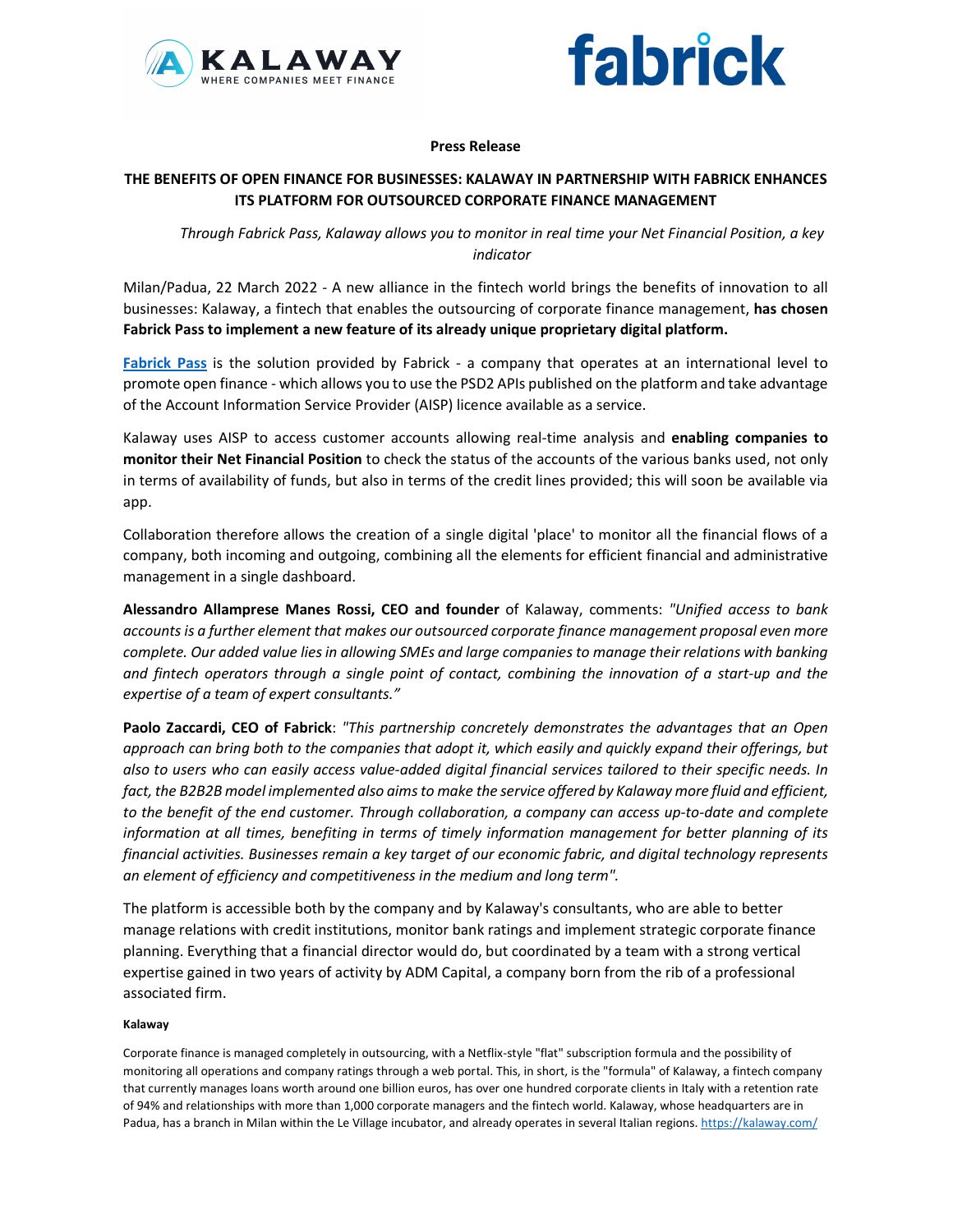



## **Press Release**

# **THE BENEFITS OF OPEN FINANCE FOR BUSINESSES: KALAWAY IN PARTNERSHIP WITH FABRICK ENHANCES ITS PLATFORM FOR OUTSOURCED CORPORATE FINANCE MANAGEMENT**

*Through Fabrick Pass, Kalaway allows you to monitor in real time your Net Financial Position, a key indicator* 

Milan/Padua, 22 March 2022 - A new alliance in the fintech world brings the benefits of innovation to all businesses: Kalaway, a fintech that enables the outsourcing of corporate finance management, **has chosen Fabrick Pass to implement a new feature of its already unique proprietary digital platform.**

**Fabrick Pass** is the solution provided by Fabrick - a company that operates at an international level to promote open finance - which allows you to use the PSD2 APIs published on the platform and take advantage of the Account Information Service Provider (AISP) licence available as a service.

Kalaway uses AISP to access customer accounts allowing real-time analysis and **enabling companies to monitor their Net Financial Position** to check the status of the accounts of the various banks used, not only in terms of availability of funds, but also in terms of the credit lines provided; this will soon be available via app.

Collaboration therefore allows the creation of a single digital 'place' to monitor all the financial flows of a company, both incoming and outgoing, combining all the elements for efficient financial and administrative management in a single dashboard.

**Alessandro Allamprese Manes Rossi, CEO and founder** of Kalaway, comments: *"Unified access to bank accounts is a further element that makes our outsourced corporate finance management proposal even more complete. Our added value lies in allowing SMEs and large companies to manage their relations with banking and fintech operators through a single point of contact, combining the innovation of a start-up and the expertise of a team of expert consultants."* 

**Paolo Zaccardi, CEO of Fabrick**: *"This partnership concretely demonstrates the advantages that an Open approach can bring both to the companies that adopt it, which easily and quickly expand their offerings, but also to users who can easily access value-added digital financial services tailored to their specific needs. In*  fact, the B2B2B model implemented also aims to make the service offered by Kalaway more fluid and efficient, *to the benefit of the end customer. Through collaboration, a company can access up-to-date and complete information at all times, benefiting in terms of timely information management for better planning of its financial activities. Businesses remain a key target of our economic fabric, and digital technology represents an element of efficiency and competitiveness in the medium and long term".*

The platform is accessible both by the company and by Kalaway's consultants, who are able to better manage relations with credit institutions, monitor bank ratings and implement strategic corporate finance planning. Everything that a financial director would do, but coordinated by a team with a strong vertical expertise gained in two years of activity by ADM Capital, a company born from the rib of a professional associated firm.

### **Kalaway**

Corporate finance is managed completely in outsourcing, with a Netflix-style "flat" subscription formula and the possibility of monitoring all operations and company ratings through a web portal. This, in short, is the "formula" of Kalaway, a fintech company that currently manages loans worth around one billion euros, has over one hundred corporate clients in Italy with a retention rate of 94% and relationships with more than 1,000 corporate managers and the fintech world. Kalaway, whose headquarters are in Padua, has a branch in Milan within the Le Village incubator, and already operates in several Italian regions. https://kalaway.com/